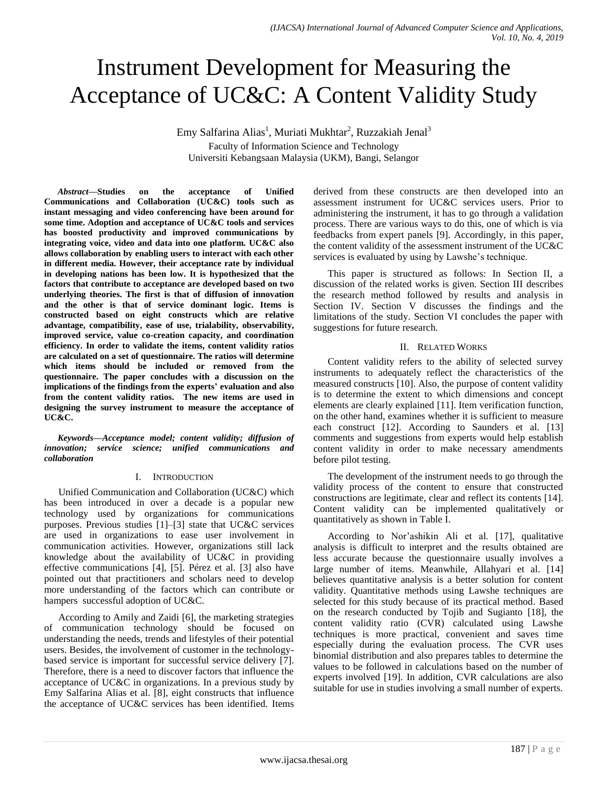# Instrument Development for Measuring the Acceptance of UC&C: A Content Validity Study

Emy Salfarina Alias<sup>1</sup>, Muriati Mukhtar<sup>2</sup>, Ruzzakiah Jenal<sup>3</sup> Faculty of Information Science and Technology Universiti Kebangsaan Malaysia (UKM), Bangi, Selangor

*Abstract***—Studies on the acceptance of Unified Communications and Collaboration (UC&C) tools such as instant messaging and video conferencing have been around for some time. Adoption and acceptance of UC&C tools and services has boosted productivity and improved communications by integrating voice, video and data into one platform. UC&C also allows collaboration by enabling users to interact with each other in different media. However, their acceptance rate by individual in developing nations has been low. It is hypothesized that the factors that contribute to acceptance are developed based on two underlying theories. The first is that of diffusion of innovation and the other is that of service dominant logic. Items is constructed based on eight constructs which are relative advantage, compatibility, ease of use, trialability, observability, improved service, value co-creation capacity, and coordination efficiency. In order to validate the items, content validity ratios are calculated on a set of questionnaire. The ratios will determine which items should be included or removed from the questionnaire. The paper concludes with a discussion on the implications of the findings from the experts' evaluation and also from the content validity ratios. The new items are used in designing the survey instrument to measure the acceptance of UC&C.**

*Keywords—Acceptance model; content validity; diffusion of innovation; service science; unified communications and collaboration*

## I. INTRODUCTION

Unified Communication and Collaboration (UC&C) which has been introduced in over a decade is a popular new technology used by organizations for communications purposes. Previous studies [1]–[3] state that UC&C services are used in organizations to ease user involvement in communication activities. However, organizations still lack knowledge about the availability of UC&C in providing effective communications [4], [5]. Pérez et al. [3] also have pointed out that practitioners and scholars need to develop more understanding of the factors which can contribute or hampers successful adoption of UC&C.

According to Amily and Zaidi [6], the marketing strategies of communication technology should be focused on understanding the needs, trends and lifestyles of their potential users. Besides, the involvement of customer in the technologybased service is important for successful service delivery [7]. Therefore, there is a need to discover factors that influence the acceptance of UC&C in organizations. In a previous study by Emy Salfarina Alias et al. [8], eight constructs that influence the acceptance of UC&C services has been identified. Items derived from these constructs are then developed into an assessment instrument for UC&C services users. Prior to administering the instrument, it has to go through a validation process. There are various ways to do this, one of which is via feedbacks from expert panels [9]. Accordingly, in this paper, the content validity of the assessment instrument of the UC&C services is evaluated by using by Lawshe's technique.

This paper is structured as follows: In Section II, a discussion of the related works is given. Section III describes the research method followed by results and analysis in Section IV. Section V discusses the findings and the limitations of the study. Section VI concludes the paper with suggestions for future research.

## II. RELATED WORKS

Content validity refers to the ability of selected survey instruments to adequately reflect the characteristics of the measured constructs [10]. Also, the purpose of content validity is to determine the extent to which dimensions and concept elements are clearly explained [11]. Item verification function, on the other hand, examines whether it is sufficient to measure each construct [12]. According to Saunders et al. [13] comments and suggestions from experts would help establish content validity in order to make necessary amendments before pilot testing.

The development of the instrument needs to go through the validity process of the content to ensure that constructed constructions are legitimate, clear and reflect its contents [14]. Content validity can be implemented qualitatively or quantitatively as shown in Table I.

According to Nor'ashikin Ali et al. [17], qualitative analysis is difficult to interpret and the results obtained are less accurate because the questionnaire usually involves a large number of items. Meanwhile, Allahyari et al. [14] believes quantitative analysis is a better solution for content validity. Quantitative methods using Lawshe techniques are selected for this study because of its practical method. Based on the research conducted by Tojib and Sugianto [18], the content validity ratio (CVR) calculated using Lawshe techniques is more practical, convenient and saves time especially during the evaluation process. The CVR uses binomial distribution and also prepares tables to determine the values to be followed in calculations based on the number of experts involved [19]. In addition, CVR calculations are also suitable for use in studies involving a small number of experts.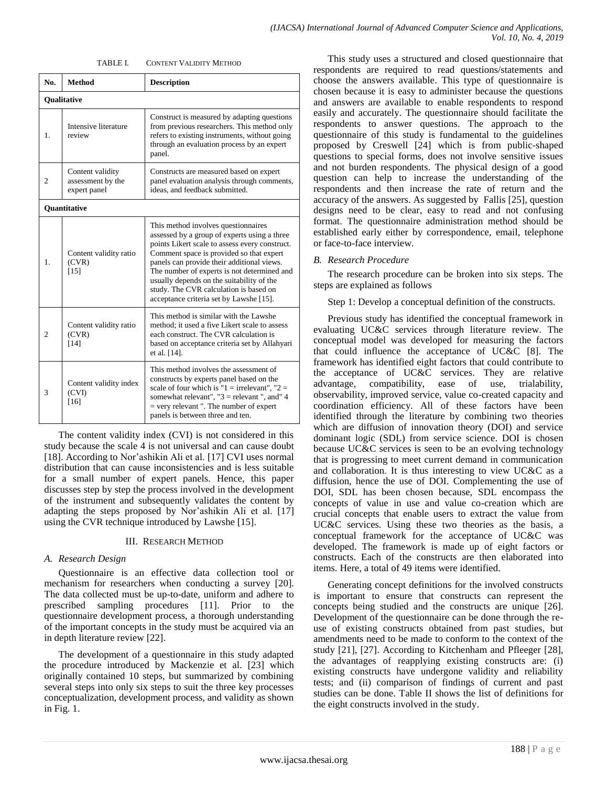| TABLE I. | <b>CONTENT VALIDITY METHOD</b> |  |
|----------|--------------------------------|--|
|          |                                |  |

| No.            | <b>Method</b>                                         | <b>Description</b>                                                                                                                                                                                                                                                                                                                                                                                               |  |  |  |
|----------------|-------------------------------------------------------|------------------------------------------------------------------------------------------------------------------------------------------------------------------------------------------------------------------------------------------------------------------------------------------------------------------------------------------------------------------------------------------------------------------|--|--|--|
|                | Qualitative                                           |                                                                                                                                                                                                                                                                                                                                                                                                                  |  |  |  |
| 1.             | Intensive literature<br>review                        | Construct is measured by adapting questions<br>from previous researchers. This method only<br>refers to existing instruments, without going<br>through an evaluation process by an expert<br>panel.                                                                                                                                                                                                              |  |  |  |
| 2              | Content validity<br>assessment by the<br>expert panel | Constructs are measured based on expert<br>panel evaluation analysis through comments,<br>ideas, and feedback submitted.                                                                                                                                                                                                                                                                                         |  |  |  |
|                | <b>Ouantitative</b>                                   |                                                                                                                                                                                                                                                                                                                                                                                                                  |  |  |  |
| $\mathbf{1}$ . | Content validity ratio<br>(CVR)<br>$[15]$             | This method involves questionnaires<br>assessed by a group of experts using a three<br>points Likert scale to assess every construct.<br>Comment space is provided so that expert<br>panels can provide their additional views.<br>The number of experts is not determined and<br>usually depends on the suitability of the<br>study. The CVR calculation is based on<br>acceptance criteria set by Lawshe [15]. |  |  |  |
| $\overline{c}$ | Content validity ratio<br>(CVR)<br>$[14]$             | This method is similar with the Lawshe<br>method: it used a five Likert scale to assess<br>each construct. The CVR calculation is<br>based on acceptance criteria set by Allahyari<br>et al. [14].                                                                                                                                                                                                               |  |  |  |
| 3              | Content validity index<br>(CVI)<br>[16]               | This method involves the assessment of<br>constructs by experts panel based on the<br>scale of four which is " $1 =$ irrelevant". " $2 =$<br>somewhat relevant", " $3$ = relevant", and" 4<br>$=$ very relevant ". The number of expert<br>panels is between three and ten.                                                                                                                                      |  |  |  |

The content validity index (CVI) is not considered in this study because the scale 4 is not universal and can cause doubt [18]. According to Nor'ashikin Ali et al. [17] CVI uses normal distribution that can cause inconsistencies and is less suitable for a small number of expert panels. Hence, this paper discusses step by step the process involved in the development of the instrument and subsequently validates the content by adapting the steps proposed by Nor'ashikin Ali et al. [17] using the CVR technique introduced by Lawshe [15].

#### III. RESEARCH METHOD

#### *A. Research Design*

Questionnaire is an effective data collection tool or mechanism for researchers when conducting a survey [20]. The data collected must be up-to-date, uniform and adhere to prescribed sampling procedures [11]. Prior to the questionnaire development process, a thorough understanding of the important concepts in the study must be acquired via an in depth literature review [22].

The development of a questionnaire in this study adapted the procedure introduced by Mackenzie et al. [23] which originally contained 10 steps, but summarized by combining several steps into only six steps to suit the three key processes conceptualization, development process, and validity as shown in Fig. 1.

This study uses a structured and closed questionnaire that respondents are required to read questions/statements and choose the answers available. This type of questionnaire is chosen because it is easy to administer because the questions and answers are available to enable respondents to respond easily and accurately. The questionnaire should facilitate the respondents to answer questions. The approach to the questionnaire of this study is fundamental to the guidelines proposed by Creswell [24] which is from public-shaped questions to special forms, does not involve sensitive issues and not burden respondents. The physical design of a good question can help to increase the understanding of the respondents and then increase the rate of return and the accuracy of the answers. As suggested by Fallis [25], question designs need to be clear, easy to read and not confusing format. The questionnaire administration method should be established early either by correspondence, email, telephone or face-to-face interview.

#### *B. Research Procedure*

The research procedure can be broken into six steps. The steps are explained as follows

#### Step 1: Develop a conceptual definition of the constructs.

Previous study has identified the conceptual framework in evaluating UC&C services through literature review. The conceptual model was developed for measuring the factors that could influence the acceptance of UC&C [8]. The framework has identified eight factors that could contribute to the acceptance of UC&C services. They are relative advantage, compatibility, ease of use, trialability, observability, improved service, value co-created capacity and coordination efficiency. All of these factors have been identified through the literature by combining two theories which are diffusion of innovation theory (DOI) and service dominant logic (SDL) from service science. DOI is chosen because UC&C services is seen to be an evolving technology that is progressing to meet current demand in communication and collaboration. It is thus interesting to view UC&C as a diffusion, hence the use of DOI. Complementing the use of DOI, SDL has been chosen because, SDL encompass the concepts of value in use and value co-creation which are crucial concepts that enable users to extract the value from UC&C services. Using these two theories as the basis, a conceptual framework for the acceptance of UC&C was developed. The framework is made up of eight factors or constructs. Each of the constructs are then elaborated into items. Here, a total of 49 items were identified.

Generating concept definitions for the involved constructs is important to ensure that constructs can represent the concepts being studied and the constructs are unique [26]. Development of the questionnaire can be done through the reuse of existing constructs obtained from past studies, but amendments need to be made to conform to the context of the study [21], [27]. According to Kitchenham and Pfleeger [28], the advantages of reapplying existing constructs are: (i) existing constructs have undergone validity and reliability tests; and (ii) comparison of findings of current and past studies can be done. Table II shows the list of definitions for the eight constructs involved in the study.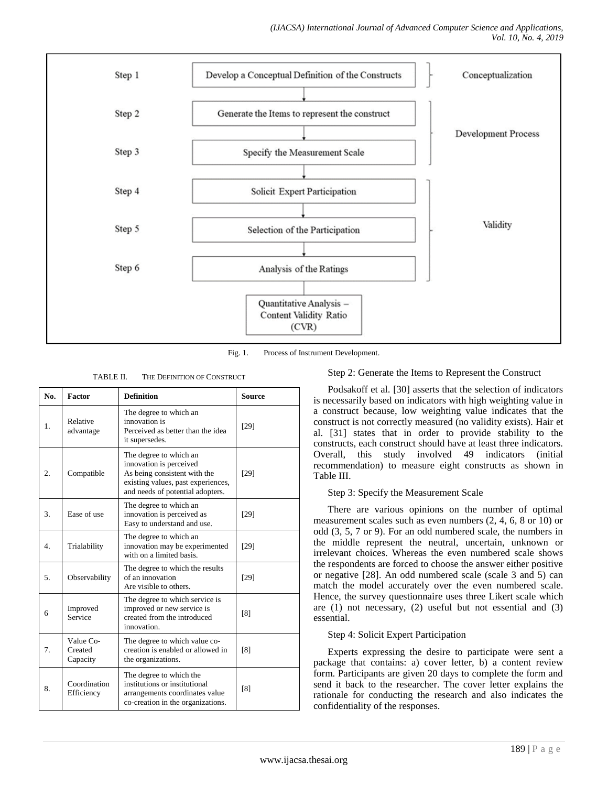

Fig. 1. Process of Instrument Development.

TABLE II. THE DEFINITION OF CONSTRUCT

| No.            | Factor                           | <b>Definition</b>                                                                                                                                           | Source |
|----------------|----------------------------------|-------------------------------------------------------------------------------------------------------------------------------------------------------------|--------|
| $\mathbf{1}$ . | Relative<br>advantage            | The degree to which an<br>innovation is<br>Perceived as better than the idea<br>it supersedes.                                                              | [29]   |
| 2.             | Compatible                       | The degree to which an<br>innovation is perceived<br>As being consistent with the<br>existing values, past experiences,<br>and needs of potential adopters. | [29]   |
| 3.             | Ease of use                      | The degree to which an<br>innovation is perceived as<br>Easy to understand and use.                                                                         | [29]   |
| 4.             | Trialability                     | The degree to which an<br>innovation may be experimented<br>with on a limited basis.                                                                        | [29]   |
| 5.             | Observability                    | The degree to which the results<br>of an innovation<br>Are visible to others.                                                                               | $[29]$ |
| 6              | Improved<br>Service              | The degree to which service is<br>improved or new service is<br>created from the introduced<br>innovation.                                                  | [8]    |
| 7.             | Value Co-<br>Created<br>Capacity | The degree to which value co-<br>creation is enabled or allowed in<br>the organizations.                                                                    | [8]    |
| 8.             | Coordination<br>Efficiency       | The degree to which the<br>institutions or institutional<br>arrangements coordinates value<br>co-creation in the organizations.                             | [8]    |

## Step 2: Generate the Items to Represent the Construct

Podsakoff et al. [30] asserts that the selection of indicators is necessarily based on indicators with high weighting value in a construct because, low weighting value indicates that the construct is not correctly measured (no validity exists). Hair et al. [31] states that in order to provide stability to the constructs, each construct should have at least three indicators. Overall, this study involved 49 indicators (initial recommendation) to measure eight constructs as shown in Table III.

## Step 3: Specify the Measurement Scale

There are various opinions on the number of optimal measurement scales such as even numbers (2, 4, 6, 8 or 10) or odd (3, 5, 7 or 9). For an odd numbered scale, the numbers in the middle represent the neutral, uncertain, unknown or irrelevant choices. Whereas the even numbered scale shows the respondents are forced to choose the answer either positive or negative [28]. An odd numbered scale (scale 3 and 5) can match the model accurately over the even numbered scale. Hence, the survey questionnaire uses three Likert scale which are (1) not necessary, (2) useful but not essential and (3) essential.

## Step 4: Solicit Expert Participation

Experts expressing the desire to participate were sent a package that contains: a) cover letter, b) a content review form. Participants are given 20 days to complete the form and send it back to the researcher. The cover letter explains the rationale for conducting the research and also indicates the confidentiality of the responses.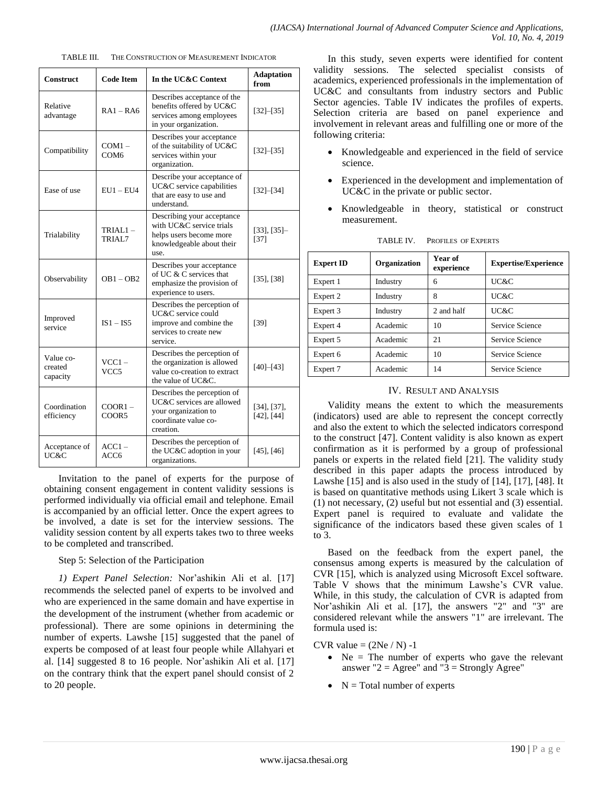| <b>Construct</b>                 | <b>Code Item</b>             | In the UC&C Context                                                                                                    | <b>Adaptation</b><br>from            |
|----------------------------------|------------------------------|------------------------------------------------------------------------------------------------------------------------|--------------------------------------|
| Relative<br>advantage            | $RA1 - RA6$                  | Describes acceptance of the<br>benefits offered by UC&C<br>services among employees<br>in your organization.           | $[32] - [35]$                        |
| Compatibility                    | $COM1 -$<br>COM <sub>6</sub> | Describes your acceptance<br>of the suitability of UC&C<br>services within your<br>organization.                       | $[32]-[35]$                          |
| Ease of use                      | $EU1 - EU4$                  | Describe your acceptance of<br>UC&C service capabilities<br>that are easy to use and<br>understand.                    | $[32] - [34]$                        |
| Trialability                     | $TRIAL1 -$<br>TRIAL7         | Describing your acceptance<br>with UC&C service trials<br>helps users become more<br>knowledgeable about their<br>use. | $[33]$ , $[35]$ -<br>[37]            |
| Observability                    | $OB1 - OB2$                  | Describes your acceptance<br>of UC & C services that<br>emphasize the provision of<br>experience to users.             | $[35]$ , $[38]$                      |
| Improved<br>service              | $IS1 - IS5$                  | Describes the perception of<br>UC&C service could<br>improve and combine the<br>services to create new<br>service.     | [39]                                 |
| Value co-<br>created<br>capacity | $VCC1 -$<br>VCC5             | Describes the perception of<br>the organization is allowed<br>value co-creation to extract<br>the value of UC&C.       | $[40]$ - $[43]$                      |
| Coordination<br>efficiency       | $COOR1 -$<br>COOR5           | Describes the perception of<br>UC&C services are allowed<br>your organization to<br>coordinate value co-<br>creation.  | $[34]$ , $[37]$ ,<br>$[42]$ , $[44]$ |
| Acceptance of<br>UC&C            | $ACC1-$<br>ACC <sub>6</sub>  | Describes the perception of<br>the UC&C adoption in your<br>organizations.                                             | $[45]$ , $[46]$                      |

TABLE III. THE CONSTRUCTION OF MEASUREMENT INDICATOR

Invitation to the panel of experts for the purpose of obtaining consent engagement in content validity sessions is performed individually via official email and telephone. Email is accompanied by an official letter. Once the expert agrees to be involved, a date is set for the interview sessions. The validity session content by all experts takes two to three weeks to be completed and transcribed.

## Step 5: Selection of the Participation

*1) Expert Panel Selection:* Nor'ashikin Ali et al. [17] recommends the selected panel of experts to be involved and who are experienced in the same domain and have expertise in the development of the instrument (whether from academic or professional). There are some opinions in determining the number of experts. Lawshe [15] suggested that the panel of experts be composed of at least four people while Allahyari et al. [14] suggested 8 to 16 people. Nor'ashikin Ali et al. [17] on the contrary think that the expert panel should consist of 2 to 20 people.

In this study, seven experts were identified for content validity sessions. The selected specialist consists of academics, experienced professionals in the implementation of UC&C and consultants from industry sectors and Public Sector agencies. Table IV indicates the profiles of experts. Selection criteria are based on panel experience and involvement in relevant areas and fulfilling one or more of the following criteria:

- Knowledgeable and experienced in the field of service science.
- Experienced in the development and implementation of UC&C in the private or public sector.
- Knowledgeable in theory, statistical or construct measurement.

| Organization<br><b>Expert ID</b> |          | Year of<br>experience | <b>Expertise/Experience</b> |
|----------------------------------|----------|-----------------------|-----------------------------|
| Expert 1                         | Industry | 6                     | UC&C                        |
| Expert 2                         | Industry | 8                     | UC&C                        |
| Expert 3                         | Industry | 2 and half            | UC&C                        |
| Expert 4                         | Academic | 10                    | Service Science             |
| Expert 5                         | Academic | 21                    | Service Science             |
| Expert 6                         | Academic | 10                    | Service Science             |
| Expert 7                         | Academic | 14                    | Service Science             |

TABLE IV. PROFILES OF EXPERTS

#### IV. RESULT AND ANALYSIS

Validity means the extent to which the measurements (indicators) used are able to represent the concept correctly and also the extent to which the selected indicators correspond to the construct [47]. Content validity is also known as expert confirmation as it is performed by a group of professional panels or experts in the related field [21]. The validity study described in this paper adapts the process introduced by Lawshe [15] and is also used in the study of [14], [17], [48]. It is based on quantitative methods using Likert 3 scale which is (1) not necessary, (2) useful but not essential and (3) essential. Expert panel is required to evaluate and validate the significance of the indicators based these given scales of 1 to 3.

Based on the feedback from the expert panel, the consensus among experts is measured by the calculation of CVR [15], which is analyzed using Microsoft Excel software. Table V shows that the minimum Lawshe's CVR value. While, in this study, the calculation of CVR is adapted from Nor'ashikin Ali et al. [17], the answers "2" and "3" are considered relevant while the answers "1" are irrelevant. The formula used is:

#### CVR value  $= (2Ne/N) -1$

- $\bullet$  Ne = The number of experts who gave the relevant answer " $2 = \text{Agree}$ " and " $3 = \text{Strongly Agree}$ "
- $\bullet$  N = Total number of experts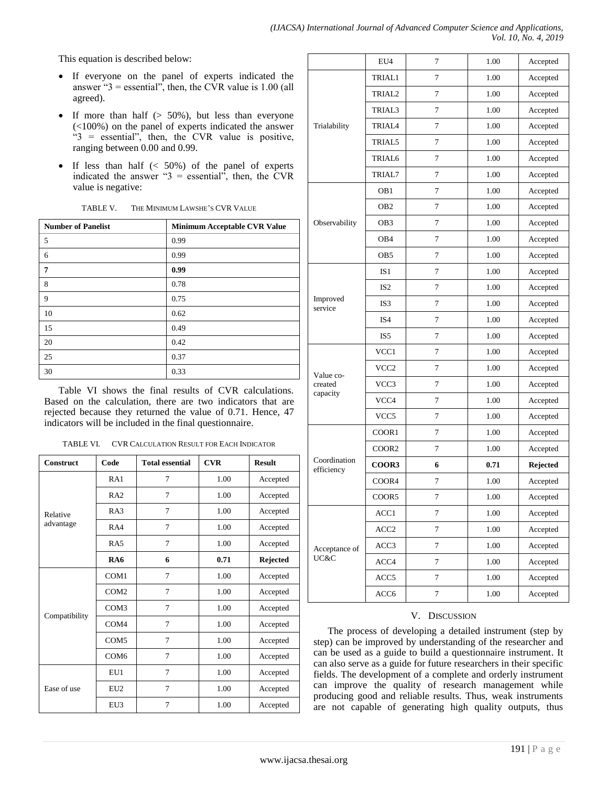This equation is described below:

- If everyone on the panel of experts indicated the answer " $3$  = essential", then, the CVR value is 1.00 (all agreed).
- If more than half  $(> 50\%)$ , but less than everyone (<100%) on the panel of experts indicated the answer  $-3$  = essential", then, the CVR value is positive, ranging between 0.00 and 0.99.
- $\bullet$  If less than half  $\left( < 50\% \right)$  of the panel of experts indicated the answer " $3$  = essential", then, the CVR value is negative:

| THE MINIMUM LAWSHE'S CVR VALUE<br>TABLE V. |
|--------------------------------------------|
|--------------------------------------------|

| <b>Number of Panelist</b> | Minimum Acceptable CVR Value |
|---------------------------|------------------------------|
| 5                         | 0.99                         |
| 6                         | 0.99                         |
| 7                         | 0.99                         |
| 8                         | 0.78                         |
| 9                         | 0.75                         |
| 10                        | 0.62                         |
| 15                        | 0.49                         |
| 20                        | 0.42                         |
| 25                        | 0.37                         |
| 30                        | 0.33                         |

Table VI shows the final results of CVR calculations. Based on the calculation, there are two indicators that are rejected because they returned the value of 0.71. Hence, 47 indicators will be included in the final questionnaire.

TABLE VI. CVR CALCULATION RESULT FOR EACH INDICATOR

| <b>Construct</b> | Code             | <b>Total essential</b> | <b>CVR</b> | <b>Result</b> |
|------------------|------------------|------------------------|------------|---------------|
|                  | RA1              | 7                      | 1.00       | Accepted      |
|                  | RA2              | 7                      | 1.00       | Accepted      |
| Relative         | RA3              | 7                      | 1.00       | Accepted      |
| advantage        | RA4              | $\overline{7}$         | 1.00       | Accepted      |
|                  | RA5              | 7                      | 1.00       | Accepted      |
|                  | RA6              | 6                      | 0.71       | Rejected      |
| Compatibility    | COM1             | $\overline{7}$         | 1.00       | Accepted      |
|                  | COM <sub>2</sub> | 7                      | 1.00       | Accepted      |
|                  | COM3             | $\overline{7}$         | 1.00       | Accepted      |
|                  | COM <sub>4</sub> | $\overline{7}$         | 1.00       | Accepted      |
|                  | COM <sub>5</sub> | 7                      | 1.00       | Accepted      |
|                  | COM <sub>6</sub> | 7                      | 1.00       | Accepted      |
| Ease of use      | EU1              | $\overline{7}$         | 1.00       | Accepted      |
|                  | EU <sub>2</sub>  | $\overline{7}$         | 1.00       | Accepted      |
|                  | EU3              | 7                      | 1.00       | Accepted      |

|                            | EU4                | 7                | 1.00 | Accepted |
|----------------------------|--------------------|------------------|------|----------|
|                            | <b>TRIAL1</b>      | 7                | 1.00 | Accepted |
|                            | TRIAL2             | 7                | 1.00 | Accepted |
|                            | TRIAL3             | 7                | 1.00 | Accepted |
| Trialability               | <b>TRIAL4</b>      | 7                | 1.00 | Accepted |
|                            | TRIAL5             | 7                | 1.00 | Accepted |
|                            | TRIAL <sub>6</sub> | 7                | 1.00 | Accepted |
|                            | TRIAL7             | 7                | 1.00 | Accepted |
|                            | OB <sub>1</sub>    | 7                | 1.00 | Accepted |
|                            | OB <sub>2</sub>    | $\tau$           | 1.00 | Accepted |
| Observability              | OB <sub>3</sub>    | 7                | 1.00 | Accepted |
|                            | OB <sub>4</sub>    | 7                | 1.00 | Accepted |
|                            | OB5                | $\overline{7}$   | 1.00 | Accepted |
|                            | IS <sub>1</sub>    | 7                | 1.00 | Accepted |
|                            | IS <sub>2</sub>    | 7                | 1.00 | Accepted |
| Improved<br>service        | IS3                | $\tau$           | 1.00 | Accepted |
|                            | IS4                | $\overline{7}$   | 1.00 | Accepted |
|                            | IS <sub>5</sub>    | 7                | 1.00 | Accepted |
|                            | VCC1               | 7                | 1.00 | Accepted |
| Value co-                  | VCC2               | 7                | 1.00 | Accepted |
| created                    | VCC3               | 7                | 1.00 | Accepted |
| capacity                   | VCC4               | 7                | 1.00 | Accepted |
|                            | VCC5               | 7                | 1.00 | Accepted |
|                            | COOR1              | $\overline{7}$   | 1.00 | Accepted |
|                            | COOR <sub>2</sub>  | 7                | 1.00 | Accepted |
| Coordination<br>efficiency | COOR3              | 6                | 0.71 | Rejected |
|                            | COOR4              | $\overline{7}$   | 1.00 | Accepted |
|                            | COOR5              | 7                | 1.00 | Accepted |
|                            | ACC1               | 7                | 1.00 | Accepted |
| Acceptance of              | ACC <sub>2</sub>   | $\tau$           | 1.00 | Accepted |
|                            | ACC3               | $\tau$           | 1.00 | Accepted |
| UC&C                       | ACC4               | 7                | 1.00 | Accepted |
|                            | ACC5               | $\boldsymbol{7}$ | 1.00 | Accepted |
|                            | ACC6               | $\boldsymbol{7}$ | 1.00 | Accepted |

## V. DISCUSSION

The process of developing a detailed instrument (step by step) can be improved by understanding of the researcher and can be used as a guide to build a questionnaire instrument. It can also serve as a guide for future researchers in their specific fields. The development of a complete and orderly instrument can improve the quality of research management while producing good and reliable results. Thus, weak instruments are not capable of generating high quality outputs, thus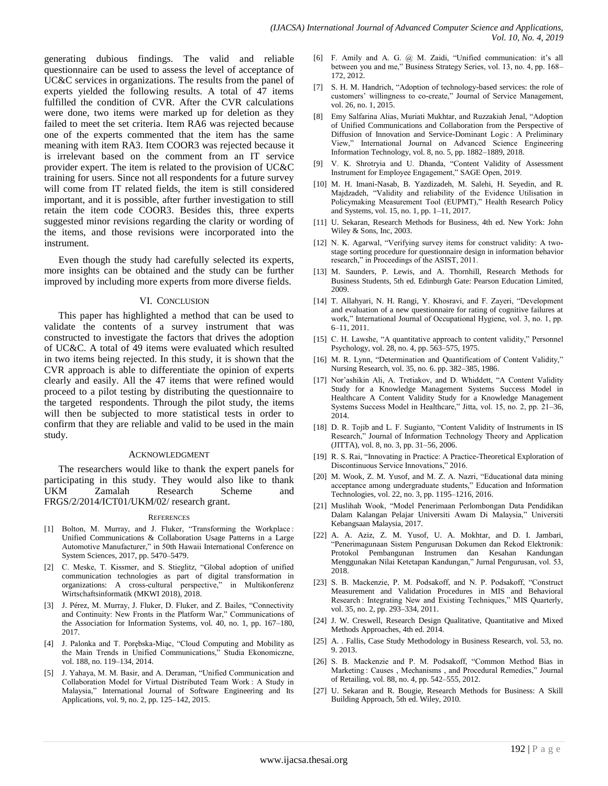generating dubious findings. The valid and reliable questionnaire can be used to assess the level of acceptance of UC&C services in organizations. The results from the panel of experts yielded the following results. A total of 47 items fulfilled the condition of CVR. After the CVR calculations were done, two items were marked up for deletion as they failed to meet the set criteria. Item RA6 was rejected because one of the experts commented that the item has the same meaning with item RA3. Item COOR3 was rejected because it is irrelevant based on the comment from an IT service provider expert. The item is related to the provision of UC&C training for users. Since not all respondents for a future survey will come from IT related fields, the item is still considered important, and it is possible, after further investigation to still retain the item code COOR3. Besides this, three experts suggested minor revisions regarding the clarity or wording of the items, and those revisions were incorporated into the instrument.

Even though the study had carefully selected its experts, more insights can be obtained and the study can be further improved by including more experts from more diverse fields.

#### VI. CONCLUSION

This paper has highlighted a method that can be used to validate the contents of a survey instrument that was constructed to investigate the factors that drives the adoption of UC&C. A total of 49 items were evaluated which resulted in two items being rejected. In this study, it is shown that the CVR approach is able to differentiate the opinion of experts clearly and easily. All the 47 items that were refined would proceed to a pilot testing by distributing the questionnaire to the targeted respondents. Through the pilot study, the items will then be subjected to more statistical tests in order to confirm that they are reliable and valid to be used in the main study.

#### ACKNOWLEDGMENT

The researchers would like to thank the expert panels for participating in this study. They would also like to thank UKM Zamalah Research Scheme and FRGS/2/2014/ICT01/UKM/02/ research grant.

#### **REFERENCES**

- [1] Bolton, M. Murray, and J. Fluker, "Transforming the Workplace: Unified Communications & Collaboration Usage Patterns in a Large Automotive Manufacturer," in 50th Hawaii International Conference on System Sciences, 2017, pp. 5470–5479.
- [2] C. Meske, T. Kissmer, and S. Stieglitz, "Global adoption of unified communication technologies as part of digital transformation in organizations: A cross-cultural perspective," in Multikonferenz Wirtschaftsinformatik (MKWI 2018), 2018.
- [3] J. Pérez, M. Murray, J. Fluker, D. Fluker, and Z. Bailes, "Connectivity and Continuity: New Fronts in the Platform War," Communications of the Association for Information Systems, vol. 40, no. 1, pp. 167–180, 2017.
- [4] J. Palonka and T. Porębska-Miąc, "Cloud Computing and Mobility as the Main Trends in Unified Communications," Studia Ekonomiczne, vol. 188, no. 119–134, 2014.
- [5] J. Yahaya, M. M. Basir, and A. Deraman, "Unified Communication and Collaboration Model for Virtual Distributed Team Work : A Study in Malaysia," International Journal of Software Engineering and Its Applications, vol. 9, no. 2, pp. 125–142, 2015.
- [6] F. Amily and A. G. @ M. Zaidi, "Unified communication: it's all between you and me," Business Strategy Series, vol. 13, no. 4, pp. 168– 172, 2012.
- [7] S. H. M. Handrich, "Adoption of technology-based services: the role of customers' willingness to co-create," Journal of Service Management, vol. 26, no. 1, 2015.
- [8] Emy Salfarina Alias, Muriati Mukhtar, and Ruzzakiah Jenal, "Adoption of Unified Communications and Collaboration from the Perspective of Diffusion of Innovation and Service-Dominant Logic : A Preliminary View," International Journal on Advanced Science Engineering Information Technology, vol. 8, no. 5, pp. 1882–1889, 2018.
- [9] V. K. Shrotryia and U. Dhanda, "Content Validity of Assessment Instrument for Employee Engagement," SAGE Open, 2019.
- [10] M. H. Imani-Nasab, B. Yazdizadeh, M. Salehi, H. Seyedin, and R. Majdzadeh, "Validity and reliability of the Evidence Utilisation in Policymaking Measurement Tool (EUPMT)," Health Research Policy and Systems, vol. 15, no. 1, pp. 1–11, 2017.
- [11] U. Sekaran, Research Methods for Business, 4th ed. New York: John Wiley & Sons, Inc, 2003.
- [12] N. K. Agarwal, "Verifying survey items for construct validity: A twostage sorting procedure for questionnaire design in information behavior research," in Proceedings of the ASIST, 2011.
- [13] M. Saunders, P. Lewis, and A. Thornhill, Research Methods for Business Students, 5th ed. Edinburgh Gate: Pearson Education Limited, 2009.
- [14] T. Allahyari, N. H. Rangi, Y. Khosravi, and F. Zayeri, "Development and evaluation of a new questionnaire for rating of cognitive failures at work," International Journal of Occupational Hygiene, vol. 3, no. 1, pp. 6–11, 2011.
- [15] C. H. Lawshe, "A quantitative approach to content validity," Personnel Psychology, vol. 28, no. 4, pp. 563–575, 1975.
- [16] M. R. Lynn, "Determination and Quantificatiom of Content Validity," Nursing Research, vol. 35, no. 6. pp. 382–385, 1986.
- [17] Nor'ashikin Ali, A. Tretiakov, and D. Whiddett, "A Content Validity Study for a Knowledge Management Systems Success Model in Healthcare A Content Validity Study for a Knowledge Management Systems Success Model in Healthcare," Jitta, vol. 15, no. 2, pp. 21–36, 2014.
- [18] D. R. Tojib and L. F. Sugianto, "Content Validity of Instruments in IS Research," Journal of Information Technology Theory and Application (JITTA), vol. 8, no. 3, pp. 31–56, 2006.
- [19] R. S. Rai, "Innovating in Practice: A Practice-Theoretical Exploration of Discontinuous Service Innovations," 2016.
- [20] M. Wook, Z. M. Yusof, and M. Z. A. Nazri, "Educational data mining acceptance among undergraduate students," Education and Information Technologies, vol. 22, no. 3, pp. 1195–1216, 2016.
- [21] Muslihah Wook, "Model Penerimaan Perlombongan Data Pendidikan Dalam Kalangan Pelajar Universiti Awam Di Malaysia," Universiti Kebangsaan Malaysia, 2017.
- [22] A. A. Aziz, Z. M. Yusof, U. A. Mokhtar, and D. I. Jambari, "Penerimagunaan Sistem Pengurusan Dokumen dan Rekod Elektronik: Protokol Pembangunan Instrumen dan Kesahan Kandungan Menggunakan Nilai Ketetapan Kandungan," Jurnal Pengurusan, vol. 53, 2018.
- [23] S. B. Mackenzie, P. M. Podsakoff, and N. P. Podsakoff, "Construct Measurement and Validation Procedures in MIS and Behavioral Research : Integrating New and Existing Techniques," MIS Quarterly, vol. 35, no. 2, pp. 293–334, 2011.
- [24] J. W. Creswell, Research Design Qualitative, Quantitative and Mixed Methods Approaches, 4th ed. 2014.
- [25] A. . Fallis, Case Study Methodology in Business Research, vol. 53, no. 9. 2013.
- [26] S. B. Mackenzie and P. M. Podsakoff, "Common Method Bias in Marketing : Causes , Mechanisms , and Procedural Remedies," Journal of Retailing, vol. 88, no. 4, pp. 542–555, 2012.
- [27] U. Sekaran and R. Bougie, Research Methods for Business: A Skill Building Approach, 5th ed. Wiley, 2010.